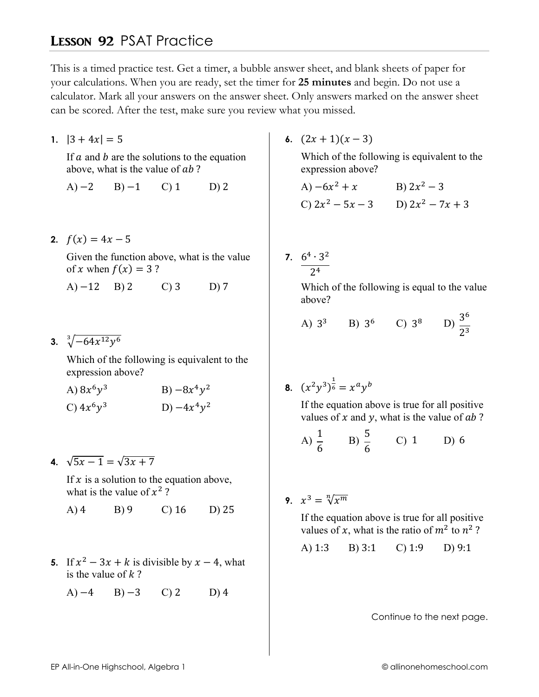## **LESSON 92 PSAT Practice**

This is a timed practice test. Get a timer, a bubble answer sheet, and blank sheets of paper for your calculations. When you are ready, set the timer for 25 minutes and begin. Do not use a calculator. Mark all your answers on the answer sheet. Only answers marked on the answer sheet can be scored. After the test, make sure you review what you missed.

1.  $|3 + 4x| = 5$ 

If  $a$  and  $b$  are the solutions to the equation above, what is the value of ab?

 $A) -2$  $B$ )  $-1$  $C<sub>0</sub>1$  $D)$  2

2.  $f(x) = 4x - 5$ 

Given the function above, what is the value of x when  $f(x) = 3$ ?

 $(A) -12$  B) 2  $C$ ) 3  $D)7$ 

3.  $\sqrt[3]{-64x^{12}y^6}$ 

Which of the following is equivalent to the expression above?

| A) $8x^6y^3$ | B) $-8x^4y^2$ |
|--------------|---------------|
| C) $4x^6y^3$ | D) $-4x^4y^2$ |

4.  $\sqrt{5x-1} = \sqrt{3x+7}$ 

If  $x$  is a solution to the equation above, what is the value of  $x^2$ ?

- $A)$ 4  $B$ ) 9  $C$ ) 16  $D$ ) 25
- 5. If  $x^2 3x + k$  is divisible by  $x 4$ , what is the value of  $k$ ?
	- $A) -4$  $B) -3$  $\mathcal{C}$ ) 2  $D(4)$

6.  $(2x+1)(x-3)$ 

Which of the following is equivalent to the expression above?

A) 
$$
-6x^2 + x
$$
 B)  $2x^2 - 3$   
C)  $2x^2 - 5x - 3$  D)  $2x^2 - 7x + 3$ 

7.  $\frac{6^4 \cdot 3^2}{2^4}$ 

Which of the following is equal to the value above?

A) 
$$
3^3
$$
 B)  $3^6$  C)  $3^8$  D)  $\frac{3^6}{2^3}$ 

**8.**  $(x^2y^3)^{\frac{1}{6}} = x^ay^b$ 

If the equation above is true for all positive values of x and y, what is the value of  $ab$ ?

A) 
$$
\frac{1}{6}
$$
 \tB)  $\frac{5}{6}$  \tC) 1 \tD) 6

9.  $x^3 = \sqrt[n]{x^m}$ 

If the equation above is true for all positive values of x, what is the ratio of  $m^2$  to  $n^2$ ?

A)  $1:3$ B) 3:1 C) 1:9  $D$ ) 9:1

Continue to the next page.